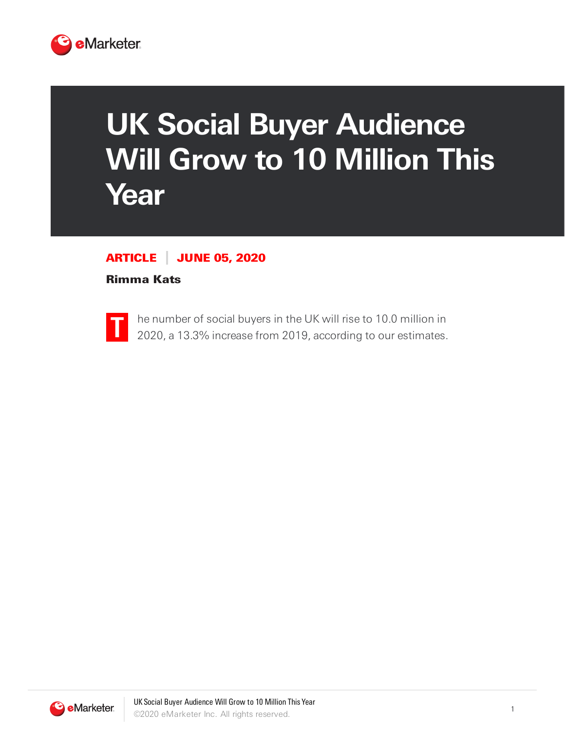

## **UK Social Buyer Audience Will Grow to 10 Million This Year**

## ARTICLE JUNE 05, 2020

## Rimma Kats



he number of social buyers in the UK will rise to 10.0 million in 2020, a 13.3% increase from 2019, according to our estimates.

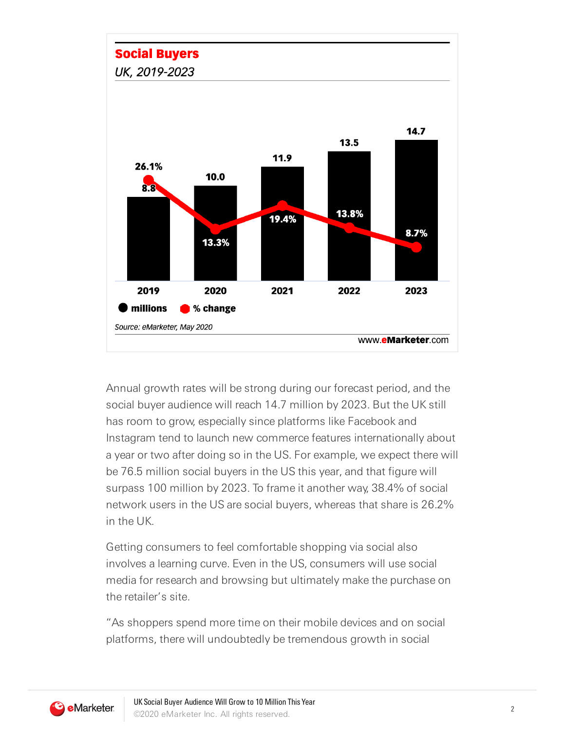## **Social Buyers**

UK, 2019-2023



Annual growth rates will be strong during our forecast period, and the social buyer audience will reach 14.7 million by 2023. But the UK still has room to grow, especially since platforms like Facebook and Instagram tend to launch new commerce features internationally about a year or two after doing so in the US. For example, we expect there will be 76.5 million social buyers in the US this year, and that figure will surpass 100 million by 2023. To frame it another way, 38.4% of social network users in the US are social buyers, whereas that share is 26.2% in the UK.

Getting consumers to feel comfortable shopping via social also involves a learning curve. Even in the US, consumers will use social media for research and browsing but ultimately make the purchase on the retailer's site.

"As shoppers spend more time on their mobile devices and on social platforms, there will undoubtedly be tremendous growth in social